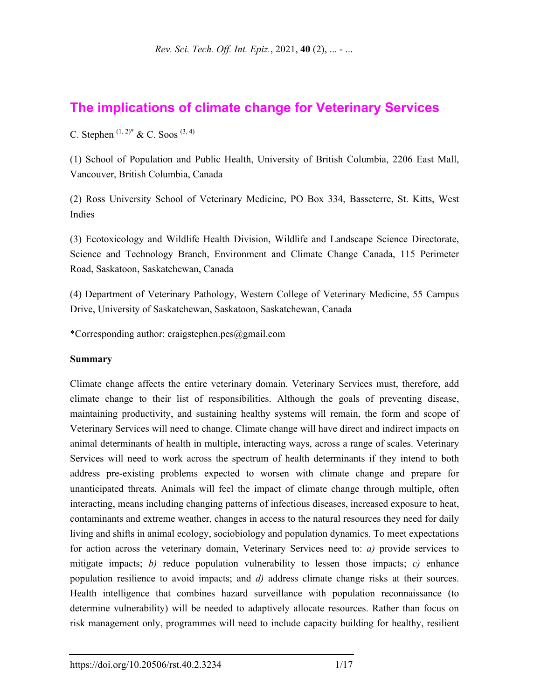# **The implications of climate change for Veterinary Services**

C. Stephen  $(1, 2)^*$  & C. Soos  $(3, 4)$ 

(1) School of Population and Public Health, University of British Columbia, 2206 East Mall, Vancouver, British Columbia, Canada

(2) Ross University School of Veterinary Medicine, PO Box 334, Basseterre, St. Kitts, West Indies

(3) Ecotoxicology and Wildlife Health Division, Wildlife and Landscape Science Directorate, Science and Technology Branch, Environment and Climate Change Canada, 115 Perimeter Road, Saskatoon, Saskatchewan, Canada

(4) Department of Veterinary Pathology, Western College of Veterinary Medicine, 55 Campus Drive, University of Saskatchewan, Saskatoon, Saskatchewan, Canada

\*Corresponding author: craigstephen.pes@gmail.com

#### **Summary**

Climate change affects the entire veterinary domain. Veterinary Services must, therefore, add climate change to their list of responsibilities. Although the goals of preventing disease, maintaining productivity, and sustaining healthy systems will remain, the form and scope of Veterinary Services will need to change. Climate change will have direct and indirect impacts on animal determinants of health in multiple, interacting ways, across a range of scales. Veterinary Services will need to work across the spectrum of health determinants if they intend to both address pre-existing problems expected to worsen with climate change and prepare for unanticipated threats. Animals will feel the impact of climate change through multiple, often interacting, means including changing patterns of infectious diseases, increased exposure to heat, contaminants and extreme weather, changes in access to the natural resources they need for daily living and shifts in animal ecology, sociobiology and population dynamics. To meet expectations for action across the veterinary domain, Veterinary Services need to: *a)* provide services to mitigate impacts; *b)* reduce population vulnerability to lessen those impacts; *c)* enhance population resilience to avoid impacts; and *d)* address climate change risks at their sources. Health intelligence that combines hazard surveillance with population reconnaissance (to determine vulnerability) will be needed to adaptively allocate resources. Rather than focus on risk management only, programmes will need to include capacity building for healthy, resilient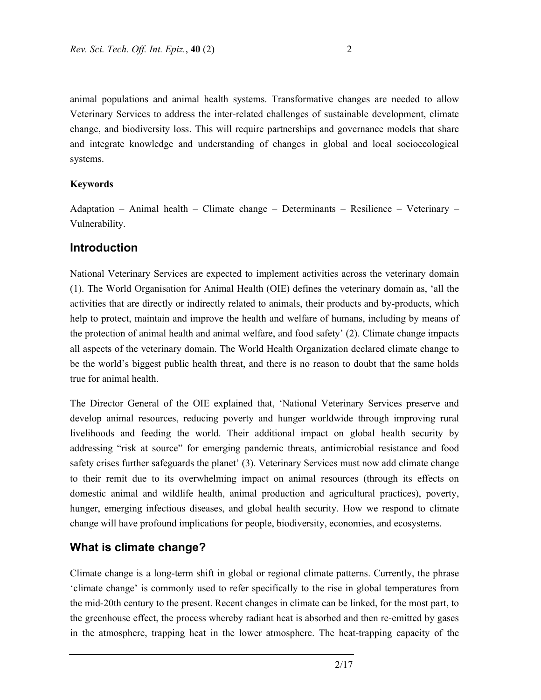animal populations and animal health systems. Transformative changes are needed to allow Veterinary Services to address the inter-related challenges of sustainable development, climate change, and biodiversity loss. This will require partnerships and governance models that share and integrate knowledge and understanding of changes in global and local socioecological systems.

#### **Keywords**

Adaptation – Animal health – Climate change – Determinants – Resilience – Veterinary – Vulnerability.

#### **Introduction**

National Veterinary Services are expected to implement activities across the veterinary domain (1). The World Organisation for Animal Health (OIE) defines the veterinary domain as, 'all the activities that are directly or indirectly related to animals, their products and by-products, which help to protect, maintain and improve the health and welfare of humans, including by means of the protection of animal health and animal welfare, and food safety' (2). Climate change impacts all aspects of the veterinary domain. The World Health Organization declared climate change to be the world's biggest public health threat, and there is no reason to doubt that the same holds true for animal health.

The Director General of the OIE explained that, 'National Veterinary Services preserve and develop animal resources, reducing poverty and hunger worldwide through improving rural livelihoods and feeding the world. Their additional impact on global health security by addressing "risk at source" for emerging pandemic threats, antimicrobial resistance and food safety crises further safeguards the planet' (3). Veterinary Services must now add climate change to their remit due to its overwhelming impact on animal resources (through its effects on domestic animal and wildlife health, animal production and agricultural practices), poverty, hunger, emerging infectious diseases, and global health security. How we respond to climate change will have profound implications for people, biodiversity, economies, and ecosystems.

### **What is climate change?**

Climate change is a long-term shift in global or regional climate patterns. Currently, the phrase 'climate change' is commonly used to refer specifically to the rise in global temperatures from the mid-20th century to the present. Recent changes in climate can be linked, for the most part, to the greenhouse effect, the process whereby radiant heat is absorbed and then re-emitted by gases in the atmosphere, trapping heat in the lower atmosphere. The heat-trapping capacity of the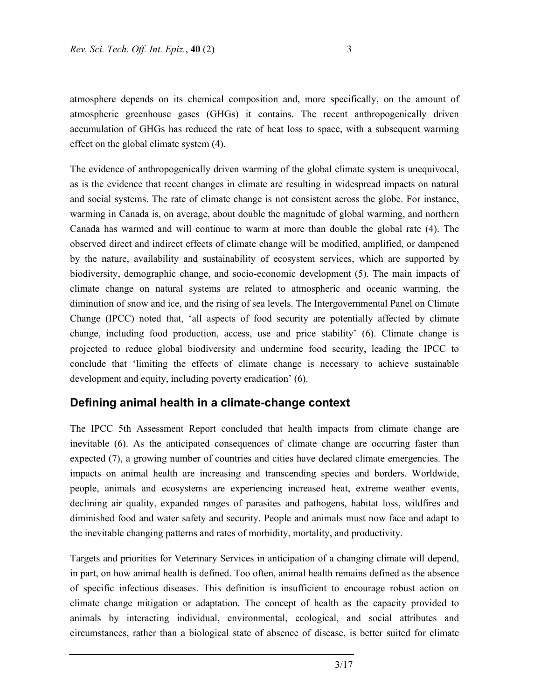atmosphere depends on its chemical composition and, more specifically, on the amount of atmospheric greenhouse gases (GHGs) it contains. The recent anthropogenically driven accumulation of GHGs has reduced the rate of heat loss to space, with a subsequent warming effect on the global climate system (4).

The evidence of anthropogenically driven warming of the global climate system is unequivocal, as is the evidence that recent changes in climate are resulting in widespread impacts on natural and social systems. The rate of climate change is not consistent across the globe. For instance, warming in Canada is, on average, about double the magnitude of global warming, and northern Canada has warmed and will continue to warm at more than double the global rate (4). The observed direct and indirect effects of climate change will be modified, amplified, or dampened by the nature, availability and sustainability of ecosystem services, which are supported by biodiversity, demographic change, and socio-economic development (5). The main impacts of climate change on natural systems are related to atmospheric and oceanic warming, the diminution of snow and ice, and the rising of sea levels. The Intergovernmental Panel on Climate Change (IPCC) noted that, 'all aspects of food security are potentially affected by climate change, including food production, access, use and price stability' (6). Climate change is projected to reduce global biodiversity and undermine food security, leading the IPCC to conclude that 'limiting the effects of climate change is necessary to achieve sustainable development and equity, including poverty eradication' (6).

### **Defining animal health in a climate-change context**

The IPCC 5th Assessment Report concluded that health impacts from climate change are inevitable (6). As the anticipated consequences of climate change are occurring faster than expected (7), a growing number of countries and cities have declared climate emergencies. The impacts on animal health are increasing and transcending species and borders. Worldwide, people, animals and ecosystems are experiencing increased heat, extreme weather events, declining air quality, expanded ranges of parasites and pathogens, habitat loss, wildfires and diminished food and water safety and security. People and animals must now face and adapt to the inevitable changing patterns and rates of morbidity, mortality, and productivity.

Targets and priorities for Veterinary Services in anticipation of a changing climate will depend, in part, on how animal health is defined. Too often, animal health remains defined as the absence of specific infectious diseases. This definition is insufficient to encourage robust action on climate change mitigation or adaptation. The concept of health as the capacity provided to animals by interacting individual, environmental, ecological, and social attributes and circumstances, rather than a biological state of absence of disease, is better suited for climate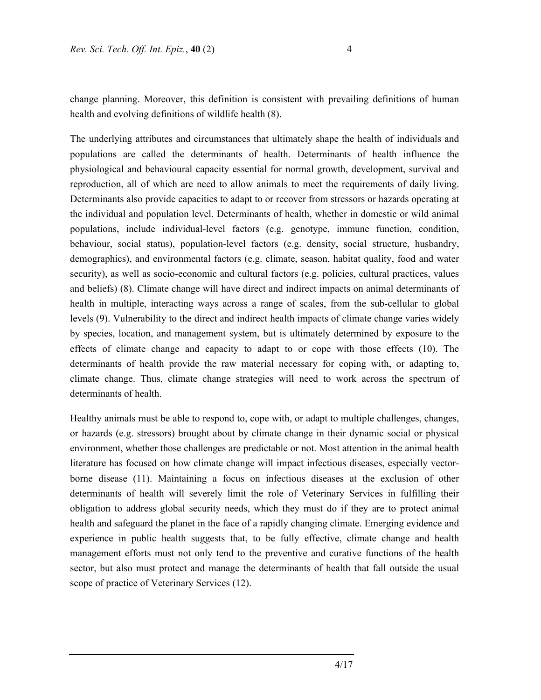change planning. Moreover, this definition is consistent with prevailing definitions of human health and evolving definitions of wildlife health (8).

The underlying attributes and circumstances that ultimately shape the health of individuals and populations are called the determinants of health. Determinants of health influence the physiological and behavioural capacity essential for normal growth, development, survival and reproduction, all of which are need to allow animals to meet the requirements of daily living. Determinants also provide capacities to adapt to or recover from stressors or hazards operating at the individual and population level. Determinants of health, whether in domestic or wild animal populations, include individual-level factors (e.g. genotype, immune function, condition, behaviour, social status), population-level factors (e.g. density, social structure, husbandry, demographics), and environmental factors (e.g. climate, season, habitat quality, food and water security), as well as socio-economic and cultural factors (e.g. policies, cultural practices, values and beliefs) (8). Climate change will have direct and indirect impacts on animal determinants of health in multiple, interacting ways across a range of scales, from the sub-cellular to global levels (9). Vulnerability to the direct and indirect health impacts of climate change varies widely by species, location, and management system, but is ultimately determined by exposure to the effects of climate change and capacity to adapt to or cope with those effects (10). The determinants of health provide the raw material necessary for coping with, or adapting to, climate change. Thus, climate change strategies will need to work across the spectrum of determinants of health.

Healthy animals must be able to respond to, cope with, or adapt to multiple challenges, changes, or hazards (e.g. stressors) brought about by climate change in their dynamic social or physical environment, whether those challenges are predictable or not. Most attention in the animal health literature has focused on how climate change will impact infectious diseases, especially vectorborne disease (11). Maintaining a focus on infectious diseases at the exclusion of other determinants of health will severely limit the role of Veterinary Services in fulfilling their obligation to address global security needs, which they must do if they are to protect animal health and safeguard the planet in the face of a rapidly changing climate. Emerging evidence and experience in public health suggests that, to be fully effective, climate change and health management efforts must not only tend to the preventive and curative functions of the health sector, but also must protect and manage the determinants of health that fall outside the usual scope of practice of Veterinary Services (12).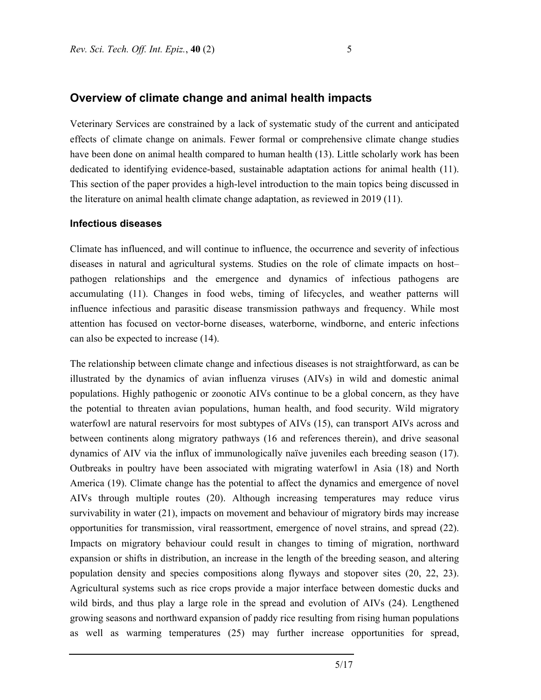#### **Overview of climate change and animal health impacts**

Veterinary Services are constrained by a lack of systematic study of the current and anticipated effects of climate change on animals. Fewer formal or comprehensive climate change studies have been done on animal health compared to human health (13). Little scholarly work has been dedicated to identifying evidence-based, sustainable adaptation actions for animal health (11). This section of the paper provides a high-level introduction to the main topics being discussed in the literature on animal health climate change adaptation, as reviewed in 2019 (11).

#### **Infectious diseases**

Climate has influenced, and will continue to influence, the occurrence and severity of infectious diseases in natural and agricultural systems. Studies on the role of climate impacts on host– pathogen relationships and the emergence and dynamics of infectious pathogens are accumulating (11). Changes in food webs, timing of lifecycles, and weather patterns will influence infectious and parasitic disease transmission pathways and frequency. While most attention has focused on vector-borne diseases, waterborne, windborne, and enteric infections can also be expected to increase (14).

The relationship between climate change and infectious diseases is not straightforward, as can be illustrated by the dynamics of avian influenza viruses (AIVs) in wild and domestic animal populations. Highly pathogenic or zoonotic AIVs continue to be a global concern, as they have the potential to threaten avian populations, human health, and food security. Wild migratory waterfowl are natural reservoirs for most subtypes of AIVs (15), can transport AIVs across and between continents along migratory pathways (16 and references therein), and drive seasonal dynamics of AIV via the influx of immunologically naïve juveniles each breeding season (17). Outbreaks in poultry have been associated with migrating waterfowl in Asia (18) and North America (19). Climate change has the potential to affect the dynamics and emergence of novel AIVs through multiple routes (20). Although increasing temperatures may reduce virus survivability in water (21), impacts on movement and behaviour of migratory birds may increase opportunities for transmission, viral reassortment, emergence of novel strains, and spread (22). Impacts on migratory behaviour could result in changes to timing of migration, northward expansion or shifts in distribution, an increase in the length of the breeding season, and altering population density and species compositions along flyways and stopover sites (20, 22, 23). Agricultural systems such as rice crops provide a major interface between domestic ducks and wild birds, and thus play a large role in the spread and evolution of AIVs (24). Lengthened growing seasons and northward expansion of paddy rice resulting from rising human populations as well as warming temperatures (25) may further increase opportunities for spread,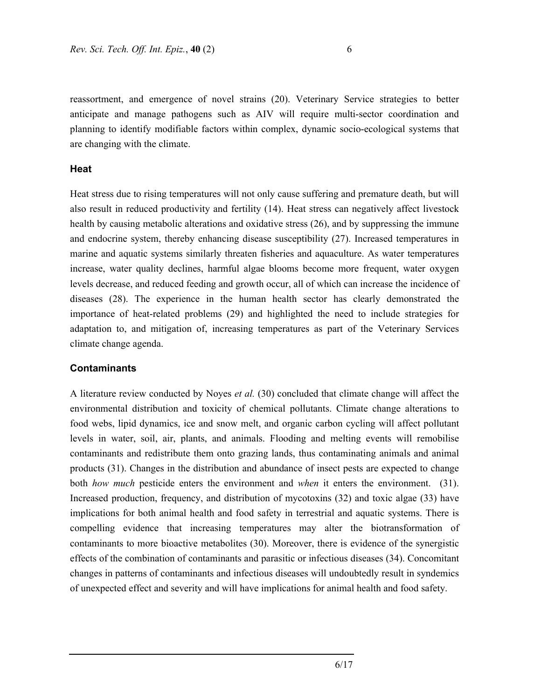reassortment, and emergence of novel strains (20). Veterinary Service strategies to better anticipate and manage pathogens such as AIV will require multi-sector coordination and planning to identify modifiable factors within complex, dynamic socio-ecological systems that are changing with the climate.

#### **Heat**

Heat stress due to rising temperatures will not only cause suffering and premature death, but will also result in reduced productivity and fertility (14). Heat stress can negatively affect livestock health by causing metabolic alterations and oxidative stress (26), and by suppressing the immune and endocrine system, thereby enhancing disease susceptibility (27). Increased temperatures in marine and aquatic systems similarly threaten fisheries and aquaculture. As water temperatures increase, water quality declines, harmful algae blooms become more frequent, water oxygen levels decrease, and reduced feeding and growth occur, all of which can increase the incidence of diseases (28). The experience in the human health sector has clearly demonstrated the importance of heat-related problems (29) and highlighted the need to include strategies for adaptation to, and mitigation of, increasing temperatures as part of the Veterinary Services climate change agenda.

#### **Contaminants**

A literature review conducted by Noyes *et al.* (30) concluded that climate change will affect the environmental distribution and toxicity of chemical pollutants. Climate change alterations to food webs, lipid dynamics, ice and snow melt, and organic carbon cycling will affect pollutant levels in water, soil, air, plants, and animals. Flooding and melting events will remobilise contaminants and redistribute them onto grazing lands, thus contaminating animals and animal products (31). Changes in the distribution and abundance of insect pests are expected to change both *how much* pesticide enters the environment and *when* it enters the environment. (31). Increased production, frequency, and distribution of mycotoxins (32) and toxic algae (33) have implications for both animal health and food safety in terrestrial and aquatic systems. There is compelling evidence that increasing temperatures may alter the biotransformation of contaminants to more bioactive metabolites (30). Moreover, there is evidence of the synergistic effects of the combination of contaminants and parasitic or infectious diseases (34). Concomitant changes in patterns of contaminants and infectious diseases will undoubtedly result in syndemics of unexpected effect and severity and will have implications for animal health and food safety.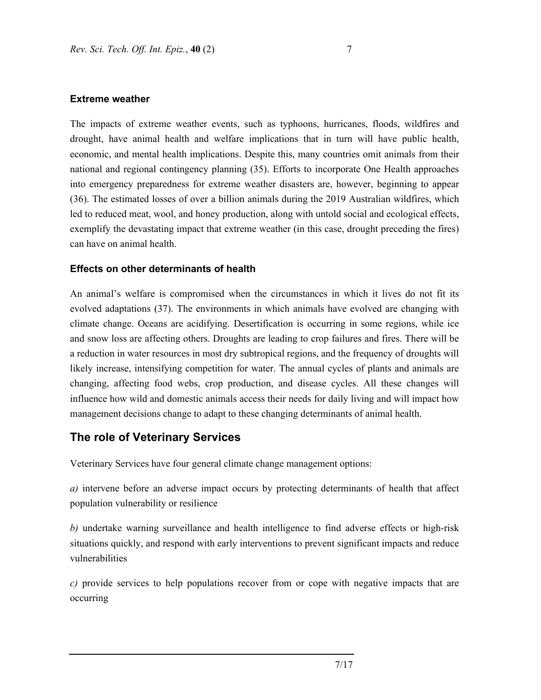#### **Extreme weather**

The impacts of extreme weather events, such as typhoons, hurricanes, floods, wildfires and drought, have animal health and welfare implications that in turn will have public health, economic, and mental health implications. Despite this, many countries omit animals from their national and regional contingency planning (35). Efforts to incorporate One Health approaches into emergency preparedness for extreme weather disasters are, however, beginning to appear (36). The estimated losses of over a billion animals during the 2019 Australian wildfires, which led to reduced meat, wool, and honey production, along with untold social and ecological effects, exemplify the devastating impact that extreme weather (in this case, drought preceding the fires) can have on animal health.

#### **Effects on other determinants of health**

An animal's welfare is compromised when the circumstances in which it lives do not fit its evolved adaptations (37). The environments in which animals have evolved are changing with climate change. Oceans are acidifying. Desertification is occurring in some regions, while ice and snow loss are affecting others. Droughts are leading to crop failures and fires. There will be a reduction in water resources in most dry subtropical regions, and the frequency of droughts will likely increase, intensifying competition for water. The annual cycles of plants and animals are changing, affecting food webs, crop production, and disease cycles. All these changes will influence how wild and domestic animals access their needs for daily living and will impact how management decisions change to adapt to these changing determinants of animal health.

## **The role of Veterinary Services**

Veterinary Services have four general climate change management options:

*a)* intervene before an adverse impact occurs by protecting determinants of health that affect population vulnerability or resilience

*b)* undertake warning surveillance and health intelligence to find adverse effects or high-risk situations quickly, and respond with early interventions to prevent significant impacts and reduce vulnerabilities

*c)* provide services to help populations recover from or cope with negative impacts that are occurring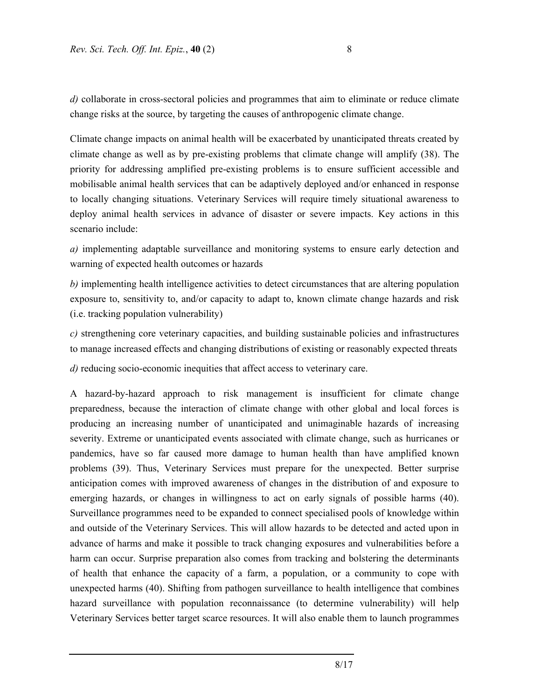*d*) collaborate in cross-sectoral policies and programmes that aim to eliminate or reduce climate change risks at the source, by targeting the causes of anthropogenic climate change.

Climate change impacts on animal health will be exacerbated by unanticipated threats created by climate change as well as by pre-existing problems that climate change will amplify (38). The priority for addressing amplified pre-existing problems is to ensure sufficient accessible and mobilisable animal health services that can be adaptively deployed and/or enhanced in response to locally changing situations. Veterinary Services will require timely situational awareness to deploy animal health services in advance of disaster or severe impacts. Key actions in this scenario include:

*a)* implementing adaptable surveillance and monitoring systems to ensure early detection and warning of expected health outcomes or hazards

*b)* implementing health intelligence activities to detect circumstances that are altering population exposure to, sensitivity to, and/or capacity to adapt to, known climate change hazards and risk (i.e. tracking population vulnerability)

*c)* strengthening core veterinary capacities, and building sustainable policies and infrastructures to manage increased effects and changing distributions of existing or reasonably expected threats

*d)* reducing socio-economic inequities that affect access to veterinary care.

A hazard-by-hazard approach to risk management is insufficient for climate change preparedness, because the interaction of climate change with other global and local forces is producing an increasing number of unanticipated and unimaginable hazards of increasing severity. Extreme or unanticipated events associated with climate change, such as hurricanes or pandemics, have so far caused more damage to human health than have amplified known problems (39). Thus, Veterinary Services must prepare for the unexpected. Better surprise anticipation comes with improved awareness of changes in the distribution of and exposure to emerging hazards, or changes in willingness to act on early signals of possible harms (40). Surveillance programmes need to be expanded to connect specialised pools of knowledge within and outside of the Veterinary Services. This will allow hazards to be detected and acted upon in advance of harms and make it possible to track changing exposures and vulnerabilities before a harm can occur. Surprise preparation also comes from tracking and bolstering the determinants of health that enhance the capacity of a farm, a population, or a community to cope with unexpected harms (40). Shifting from pathogen surveillance to health intelligence that combines hazard surveillance with population reconnaissance (to determine vulnerability) will help Veterinary Services better target scarce resources. It will also enable them to launch programmes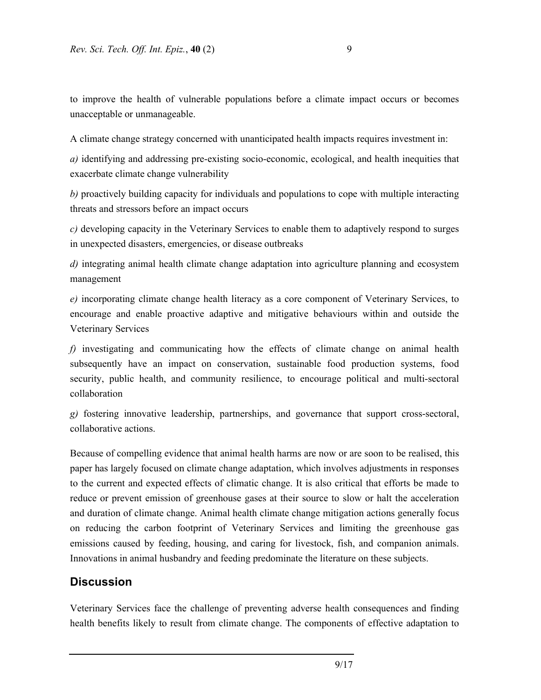to improve the health of vulnerable populations before a climate impact occurs or becomes unacceptable or unmanageable.

A climate change strategy concerned with unanticipated health impacts requires investment in:

*a)* identifying and addressing pre-existing socio-economic, ecological, and health inequities that exacerbate climate change vulnerability

*b)* proactively building capacity for individuals and populations to cope with multiple interacting threats and stressors before an impact occurs

*c)* developing capacity in the Veterinary Services to enable them to adaptively respond to surges in unexpected disasters, emergencies, or disease outbreaks

*d)* integrating animal health climate change adaptation into agriculture planning and ecosystem management

*e)* incorporating climate change health literacy as a core component of Veterinary Services, to encourage and enable proactive adaptive and mitigative behaviours within and outside the Veterinary Services

*f)* investigating and communicating how the effects of climate change on animal health subsequently have an impact on conservation, sustainable food production systems, food security, public health, and community resilience, to encourage political and multi-sectoral collaboration

*g)* fostering innovative leadership, partnerships, and governance that support cross-sectoral, collaborative actions.

Because of compelling evidence that animal health harms are now or are soon to be realised, this paper has largely focused on climate change adaptation, which involves adjustments in responses to the current and expected effects of climatic change. It is also critical that efforts be made to reduce or prevent emission of greenhouse gases at their source to slow or halt the acceleration and duration of climate change. Animal health climate change mitigation actions generally focus on reducing the carbon footprint of Veterinary Services and limiting the greenhouse gas emissions caused by feeding, housing, and caring for livestock, fish, and companion animals. Innovations in animal husbandry and feeding predominate the literature on these subjects.

## **Discussion**

Veterinary Services face the challenge of preventing adverse health consequences and finding health benefits likely to result from climate change. The components of effective adaptation to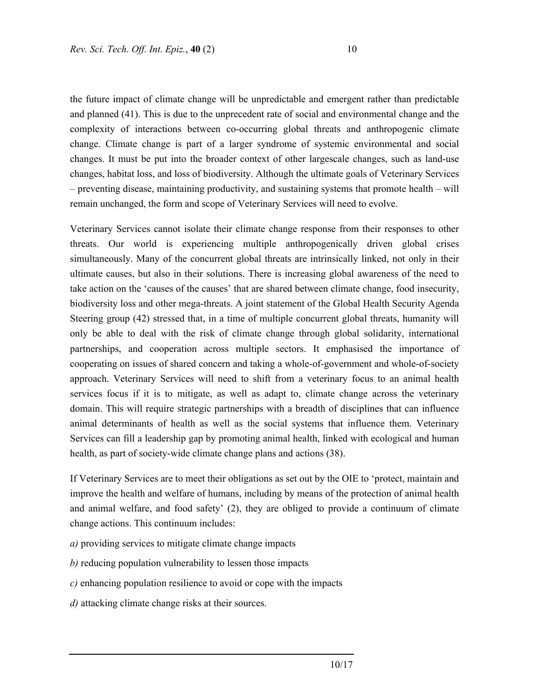the future impact of climate change will be unpredictable and emergent rather than predictable and planned (41). This is due to the unprecedent rate of social and environmental change and the complexity of interactions between co-occurring global threats and anthropogenic climate change. Climate change is part of a larger syndrome of systemic environmental and social changes. It must be put into the broader context of other largescale changes, such as land-use changes, habitat loss, and loss of biodiversity. Although the ultimate goals of Veterinary Services – preventing disease, maintaining productivity, and sustaining systems that promote health – will remain unchanged, the form and scope of Veterinary Services will need to evolve.

Veterinary Services cannot isolate their climate change response from their responses to other threats. Our world is experiencing multiple anthropogenically driven global crises simultaneously. Many of the concurrent global threats are intrinsically linked, not only in their ultimate causes, but also in their solutions. There is increasing global awareness of the need to take action on the 'causes of the causes' that are shared between climate change, food insecurity, biodiversity loss and other mega-threats. A joint statement of the Global Health Security Agenda Steering group (42) stressed that, in a time of multiple concurrent global threats, humanity will only be able to deal with the risk of climate change through global solidarity, international partnerships, and cooperation across multiple sectors. It emphasised the importance of cooperating on issues of shared concern and taking a whole-of-government and whole-of-society approach. Veterinary Services will need to shift from a veterinary focus to an animal health services focus if it is to mitigate, as well as adapt to, climate change across the veterinary domain. This will require strategic partnerships with a breadth of disciplines that can influence animal determinants of health as well as the social systems that influence them. Veterinary Services can fill a leadership gap by promoting animal health, linked with ecological and human health, as part of society-wide climate change plans and actions (38).

If Veterinary Services are to meet their obligations as set out by the OIE to 'protect, maintain and improve the health and welfare of humans, including by means of the protection of animal health and animal welfare, and food safety' (2), they are obliged to provide a continuum of climate change actions. This continuum includes:

- *a)* providing services to mitigate climate change impacts
- *b)* reducing population vulnerability to lessen those impacts
- *c)* enhancing population resilience to avoid or cope with the impacts
- *d)* attacking climate change risks at their sources.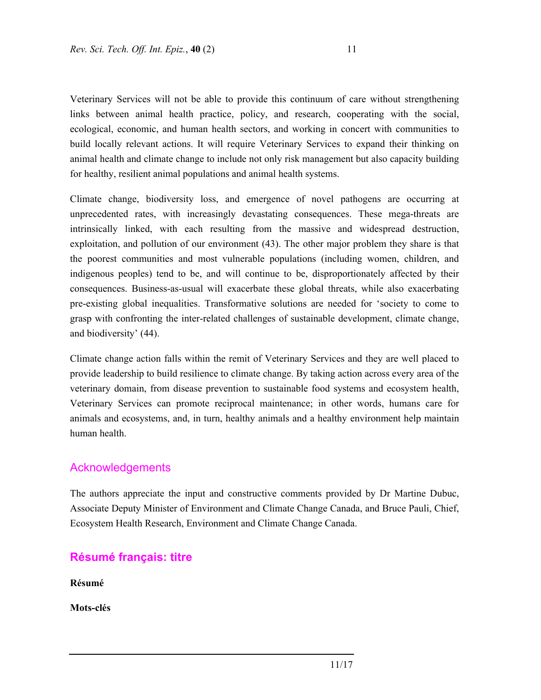Veterinary Services will not be able to provide this continuum of care without strengthening links between animal health practice, policy, and research, cooperating with the social, ecological, economic, and human health sectors, and working in concert with communities to build locally relevant actions. It will require Veterinary Services to expand their thinking on animal health and climate change to include not only risk management but also capacity building for healthy, resilient animal populations and animal health systems.

Climate change, biodiversity loss, and emergence of novel pathogens are occurring at unprecedented rates, with increasingly devastating consequences. These mega-threats are intrinsically linked, with each resulting from the massive and widespread destruction, exploitation, and pollution of our environment (43). The other major problem they share is that the poorest communities and most vulnerable populations (including women, children, and indigenous peoples) tend to be, and will continue to be, disproportionately affected by their consequences. Business-as-usual will exacerbate these global threats, while also exacerbating pre-existing global inequalities. Transformative solutions are needed for 'society to come to grasp with confronting the inter-related challenges of sustainable development, climate change, and biodiversity' (44).

Climate change action falls within the remit of Veterinary Services and they are well placed to provide leadership to build resilience to climate change. By taking action across every area of the veterinary domain, from disease prevention to sustainable food systems and ecosystem health, Veterinary Services can promote reciprocal maintenance; in other words, humans care for animals and ecosystems, and, in turn, healthy animals and a healthy environment help maintain human health.

#### Acknowledgements

The authors appreciate the input and constructive comments provided by Dr Martine Dubuc, Associate Deputy Minister of Environment and Climate Change Canada, and Bruce Pauli, Chief, Ecosystem Health Research, Environment and Climate Change Canada.

### **Résumé français: titre**

**Résumé** 

**Mots-clés**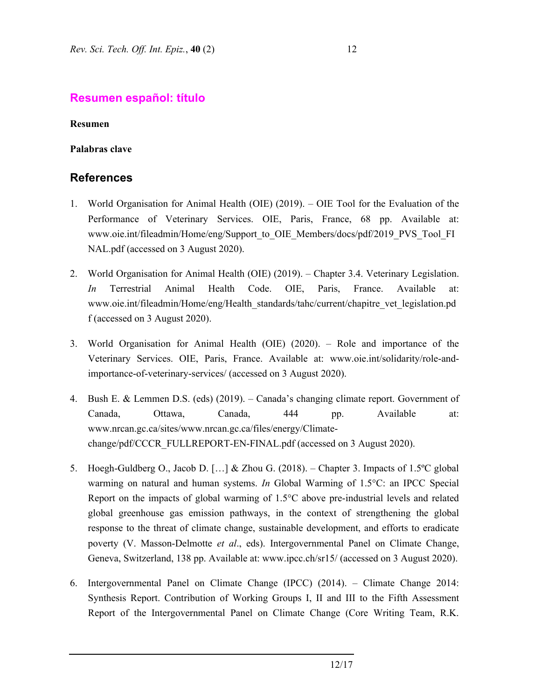## **Resumen español: título**

**Resumen** 

#### **Palabras clave**

## **References**

- 1. World Organisation for Animal Health (OIE) (2019). OIE Tool for the Evaluation of the Performance of Veterinary Services. OIE, Paris, France, 68 pp. Available at: www.oie.int/fileadmin/Home/eng/Support\_to\_OIE\_Members/docs/pdf/2019\_PVS\_Tool\_FI NAL.pdf (accessed on 3 August 2020).
- 2. World Organisation for Animal Health (OIE) (2019). Chapter 3.4. Veterinary Legislation. *In* Terrestrial Animal Health Code. OIE, Paris, France. Available at: www.oie.int/fileadmin/Home/eng/Health\_standards/tahc/current/chapitre\_vet\_legislation.pd f (accessed on 3 August 2020).
- 3. World Organisation for Animal Health (OIE) (2020). Role and importance of the Veterinary Services. OIE, Paris, France. Available at: www.oie.int/solidarity/role-andimportance-of-veterinary-services/ (accessed on 3 August 2020).
- 4. Bush E. & Lemmen D.S. (eds) (2019). Canada's changing climate report. Government of Canada, Ottawa, Canada, 444 pp. Available at: www.nrcan.gc.ca/sites/www.nrcan.gc.ca/files/energy/Climatechange/pdf/CCCR\_FULLREPORT-EN-FINAL.pdf (accessed on 3 August 2020).
- 5. Hoegh-Guldberg O., Jacob D. […] & Zhou G. (2018). Chapter 3. Impacts of 1.5ºC global warming on natural and human systems. *In* Global Warming of 1.5°C: an IPCC Special Report on the impacts of global warming of 1.5°C above pre-industrial levels and related global greenhouse gas emission pathways, in the context of strengthening the global response to the threat of climate change, sustainable development, and efforts to eradicate poverty (V. Masson-Delmotte *et al*., eds). Intergovernmental Panel on Climate Change, Geneva, Switzerland, 138 pp. Available at: www.ipcc.ch/sr15/ (accessed on 3 August 2020).
- 6. Intergovernmental Panel on Climate Change (IPCC) (2014). Climate Change 2014: Synthesis Report. Contribution of Working Groups I, II and III to the Fifth Assessment Report of the Intergovernmental Panel on Climate Change (Core Writing Team, R.K.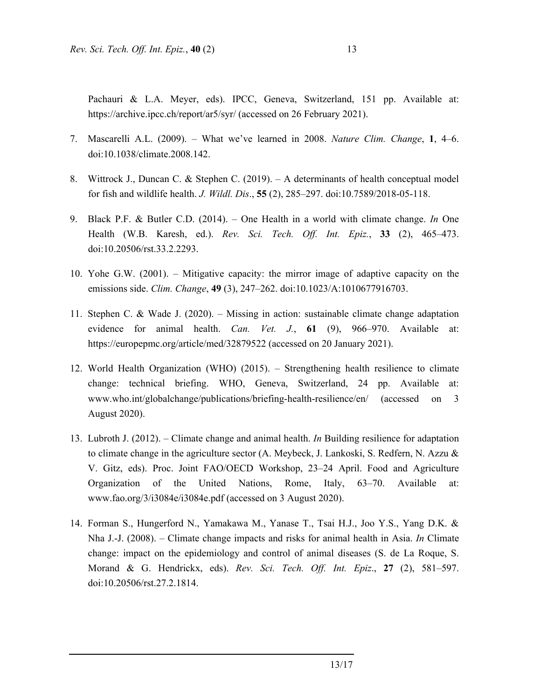Pachauri & L.A. Meyer, eds). IPCC, Geneva, Switzerland, 151 pp. Available at: https://archive.ipcc.ch/report/ar5/syr/ (accessed on 26 February 2021).

- 7. Mascarelli A.L. (2009). What we've learned in 2008. *Nature Clim. Change*, **1**, 4–6. doi:10.1038/climate.2008.142.
- 8. Wittrock J., Duncan C. & Stephen C. (2019). A determinants of health conceptual model for fish and wildlife health. *J. Wildl. Dis*., **55** (2), 285–297. doi:10.7589/2018-05-118.
- 9. Black P.F. & Butler C.D. (2014). One Health in a world with climate change. *In* One Health (W.B. Karesh, ed.). *Rev. Sci. Tech. Off. Int. Epiz.*, **33** (2), 465–473. doi:10.20506/rst.33.2.2293.
- 10. Yohe G.W. (2001). Mitigative capacity: the mirror image of adaptive capacity on the emissions side. *Clim. Change*, **49** (3), 247–262. doi:10.1023/A:1010677916703.
- 11. Stephen C. & Wade J. (2020). Missing in action: sustainable climate change adaptation evidence for animal health. *Can. Vet. J.*, **61** (9), 966–970. Available at: https://europepmc.org/article/med/32879522 (accessed on 20 January 2021).
- 12. World Health Organization (WHO) (2015). Strengthening health resilience to climate change: technical briefing. WHO, Geneva, Switzerland, 24 pp. Available at: www.who.int/globalchange/publications/briefing-health-resilience/en/ (accessed on 3 August 2020).
- 13. Lubroth J. (2012). Climate change and animal health. *In* Building resilience for adaptation to climate change in the agriculture sector (A. Meybeck, J. Lankoski, S. Redfern, N. Azzu & V. Gitz, eds). Proc. Joint FAO/OECD Workshop, 23–24 April. Food and Agriculture Organization of the United Nations, Rome, Italy, 63–70. Available at: www.fao.org/3/i3084e/i3084e.pdf (accessed on 3 August 2020).
- 14. Forman S., Hungerford N., Yamakawa M., Yanase T., Tsai H.J., Joo Y.S., Yang D.K. & Nha J.-J. (2008). – Climate change impacts and risks for animal health in Asia. *In* Climate change: impact on the epidemiology and control of animal diseases (S. de La Roque, S. Morand & G. Hendrickx, eds). *Rev. Sci. Tech. Off. Int. Epiz*., **27** (2), 581–597. doi:10.20506/rst.27.2.1814.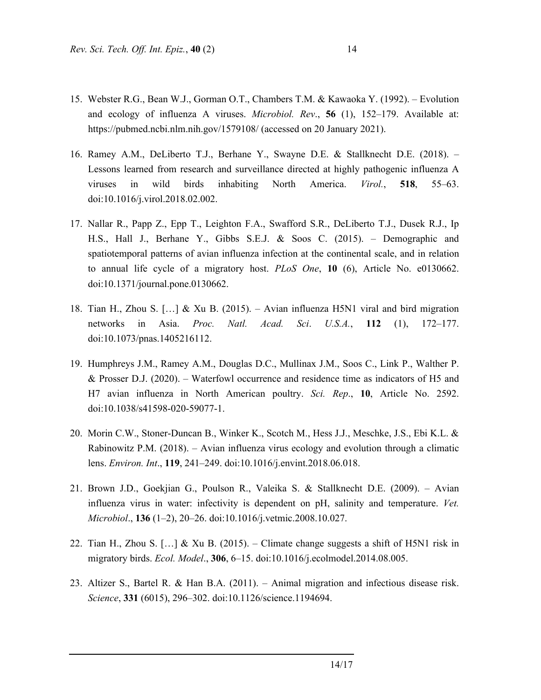- 15. Webster R.G., Bean W.J., Gorman O.T., Chambers T.M. & Kawaoka Y. (1992). Evolution and ecology of influenza A viruses. *Microbiol. Rev*., **56** (1), 152–179. Available at: https://pubmed.ncbi.nlm.nih.gov/1579108/ (accessed on 20 January 2021).
- 16. Ramey A.M., DeLiberto T.J., Berhane Y., Swayne D.E. & Stallknecht D.E. (2018). Lessons learned from research and surveillance directed at highly pathogenic influenza A viruses in wild birds inhabiting North America. *Virol.*, **518**, 55–63. doi:10.1016/j.virol.2018.02.002.
- 17. Nallar R., Papp Z., Epp T., Leighton F.A., Swafford S.R., DeLiberto T.J., Dusek R.J., Ip H.S., Hall J., Berhane Y., Gibbs S.E.J. & Soos C. (2015). – Demographic and spatiotemporal patterns of avian influenza infection at the continental scale, and in relation to annual life cycle of a migratory host. *PLoS One*, **10** (6), Article No. e0130662. doi:10.1371/journal.pone.0130662.
- 18. Tian H., Zhou S. […] & Xu B. (2015). Avian influenza H5N1 viral and bird migration networks in Asia. *Proc. Natl. Acad. Sci*. *U.S.A.*, **112** (1), 172–177. doi:10.1073/pnas.1405216112.
- 19. Humphreys J.M., Ramey A.M., Douglas D.C., Mullinax J.M., Soos C., Link P., Walther P. & Prosser D.J. (2020). – Waterfowl occurrence and residence time as indicators of H5 and H7 avian influenza in North American poultry. *Sci. Rep*., **10**, Article No. 2592. doi:10.1038/s41598-020-59077-1.
- 20. Morin C.W., Stoner-Duncan B., Winker K., Scotch M., Hess J.J., Meschke, J.S., Ebi K.L. & Rabinowitz P.M. (2018). – Avian influenza virus ecology and evolution through a climatic lens. *Environ. Int*., **119**, 241–249. doi:10.1016/j.envint.2018.06.018.
- 21. Brown J.D., Goekjian G., Poulson R., Valeika S. & Stallknecht D.E. (2009). Avian influenza virus in water: infectivity is dependent on pH, salinity and temperature. *Vet. Microbiol*., **136** (1–2), 20–26. doi:10.1016/j.vetmic.2008.10.027.
- 22. Tian H., Zhou S.  $[\dots]$  & Xu B. (2015). Climate change suggests a shift of H5N1 risk in migratory birds. *Ecol. Model*., **306**, 6–15. doi:10.1016/j.ecolmodel.2014.08.005.
- 23. Altizer S., Bartel R. & Han B.A. (2011). Animal migration and infectious disease risk. *Science*, **331** (6015), 296–302. doi:10.1126/science.1194694.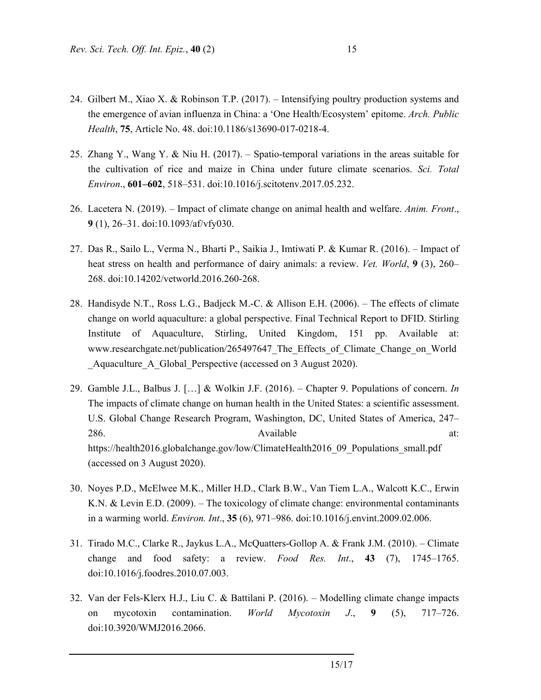- 24. Gilbert M., Xiao X. & Robinson T.P. (2017). Intensifying poultry production systems and the emergence of avian influenza in China: a 'One Health/Ecosystem' epitome. *Arch. Public Health*, **75**, Article No. 48. doi:10.1186/s13690-017-0218-4.
- 25. Zhang Y., Wang Y. & Niu H. (2017). Spatio-temporal variations in the areas suitable for the cultivation of rice and maize in China under future climate scenarios. *Sci. Total Environ*., **601–602**, 518–531. doi:10.1016/j.scitotenv.2017.05.232.
- 26. Lacetera N. (2019). Impact of climate change on animal health and welfare. *Anim. Front*., **9** (1), 26–31. doi:10.1093/af/vfy030.
- 27. Das R., Sailo L., Verma N., Bharti P., Saikia J., Imtiwati P. & Kumar R. (2016). Impact of heat stress on health and performance of dairy animals: a review. *Vet. World*, **9** (3), 260– 268. doi:10.14202/vetworld.2016.260-268.
- 28. Handisyde N.T., Ross L.G., Badjeck M.-C. & Allison E.H. (2006). The effects of climate change on world aquaculture: a global perspective. Final Technical Report to DFID. Stirling Institute of Aquaculture, Stirling, United Kingdom, 151 pp. Available at: www.researchgate.net/publication/265497647 The Effects of Climate Change on World Aquaculture A Global Perspective (accessed on 3 August 2020).
- 29. Gamble J.L., Balbus J. […] & Wolkin J.F. (2016). Chapter 9. Populations of concern. *In* The impacts of climate change on human health in the United States: a scientific assessment. U.S. Global Change Research Program, Washington, DC, United States of America, 247– 286. **Available at: Available at:** https://health2016.globalchange.gov/low/ClimateHealth2016\_09\_Populations\_small.pdf (accessed on 3 August 2020).
- 30. Noyes P.D., McElwee M.K., Miller H.D., Clark B.W., Van Tiem L.A., Walcott K.C., Erwin K.N. & Levin E.D. (2009). – The toxicology of climate change: environmental contaminants in a warming world. *Environ. Int*., **35** (6), 971–986. doi:10.1016/j.envint.2009.02.006.
- 31. Tirado M.C., Clarke R., Jaykus L.A., McQuatters-Gollop A. & Frank J.M. (2010). Climate change and food safety: a review. *Food Res. Int*., **43** (7), 1745–1765. doi:10.1016/j.foodres.2010.07.003.
- 32. Van der Fels-Klerx H.J., Liu C. & Battilani P. (2016). Modelling climate change impacts on mycotoxin contamination. *World Mycotoxin J*., **9** (5), 717–726. doi:10.3920/WMJ2016.2066.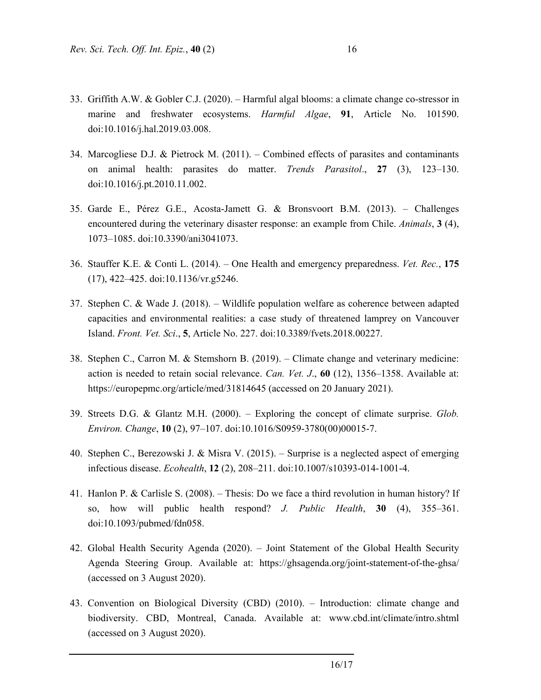- 33. Griffith A.W. & Gobler C.J. (2020). Harmful algal blooms: a climate change co-stressor in marine and freshwater ecosystems. *Harmful Algae*, **91**, Article No. 101590. doi:10.1016/j.hal.2019.03.008.
- 34. Marcogliese D.J. & Pietrock M. (2011). Combined effects of parasites and contaminants on animal health: parasites do matter. *Trends Parasitol*., **27** (3), 123–130. doi:10.1016/j.pt.2010.11.002.
- 35. Garde E., Pérez G.E., Acosta-Jamett G. & Bronsvoort B.M. (2013). Challenges encountered during the veterinary disaster response: an example from Chile. *Animals*, **3** (4), 1073–1085. doi:10.3390/ani3041073.
- 36. Stauffer K.E. & Conti L. (2014). One Health and emergency preparedness. *Vet. Rec.*, **175** (17), 422–425. doi:10.1136/vr.g5246.
- 37. Stephen C. & Wade J. (2018). Wildlife population welfare as coherence between adapted capacities and environmental realities: a case study of threatened lamprey on Vancouver Island. *Front. Vet. Sci*., **5**, Article No. 227. doi:10.3389/fvets.2018.00227.
- 38. Stephen C., Carron M. & Stemshorn B. (2019). Climate change and veterinary medicine: action is needed to retain social relevance. *Can. Vet. J*., **60** (12), 1356–1358. Available at: https://europepmc.org/article/med/31814645 (accessed on 20 January 2021).
- 39. Streets D.G. & Glantz M.H. (2000). Exploring the concept of climate surprise. *Glob. Environ. Change*, **10** (2), 97–107. doi:10.1016/S0959-3780(00)00015-7.
- 40. Stephen C., Berezowski J. & Misra V. (2015). Surprise is a neglected aspect of emerging infectious disease. *Ecohealth*, **12** (2), 208–211. doi:10.1007/s10393-014-1001-4.
- 41. Hanlon P. & Carlisle S. (2008). Thesis: Do we face a third revolution in human history? If so, how will public health respond? *J. Public Health*, **30** (4), 355–361. doi:10.1093/pubmed/fdn058.
- 42. Global Health Security Agenda (2020). Joint Statement of the Global Health Security Agenda Steering Group. Available at: https://ghsagenda.org/joint-statement-of-the-ghsa/ (accessed on 3 August 2020).
- 43. Convention on Biological Diversity (CBD) (2010). Introduction: climate change and biodiversity. CBD, Montreal, Canada. Available at: www.cbd.int/climate/intro.shtml (accessed on 3 August 2020).